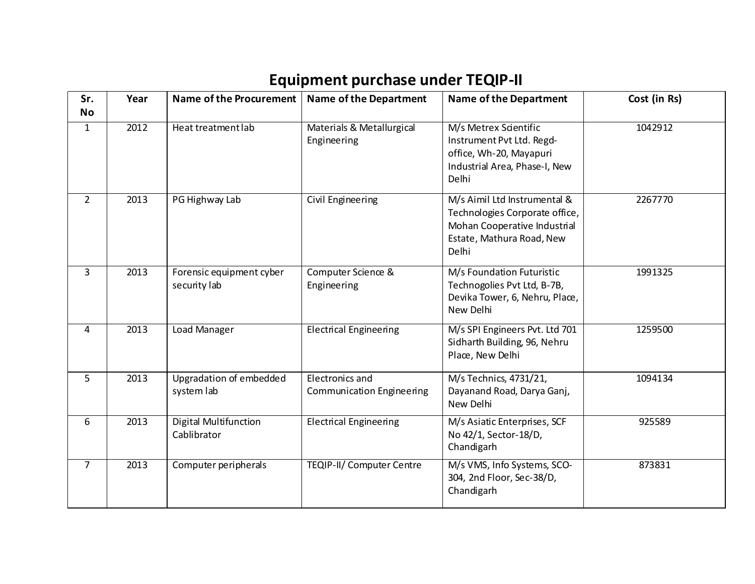| Sr.<br><b>No</b> | Year | <b>Name of the Procurement</b>           | <b>Name of the Department</b>                | <b>Name of the Department</b>                                                                                                        | Cost (in Rs) |
|------------------|------|------------------------------------------|----------------------------------------------|--------------------------------------------------------------------------------------------------------------------------------------|--------------|
| $\mathbf{1}$     | 2012 | Heat treatment lab                       | Materials & Metallurgical<br>Engineering     | M/s Metrex Scientific<br>Instrument Pvt Ltd. Regd-<br>office, Wh-20, Mayapuri<br>Industrial Area, Phase-I, New<br>Delhi              | 1042912      |
| $\overline{2}$   | 2013 | PG Highway Lab                           | Civil Engineering                            | M/s Aimil Ltd Instrumental &<br>Technologies Corporate office,<br>Mohan Cooperative Industrial<br>Estate, Mathura Road, New<br>Delhi | 2267770      |
| 3                | 2013 | Forensic equipment cyber<br>security lab | Computer Science &<br>Engineering            | M/s Foundation Futuristic<br>Technogolies Pvt Ltd, B-7B,<br>Devika Tower, 6, Nehru, Place,<br>New Delhi                              | 1991325      |
| 4                | 2013 | Load Manager                             | <b>Electrical Engineering</b>                | M/s SPI Engineers Pvt. Ltd 701<br>Sidharth Building, 96, Nehru<br>Place, New Delhi                                                   | 1259500      |
| 5                | 2013 | Upgradation of embedded<br>system lab    | Electronics and<br>Communication Engineering | M/s Technics, 4731/21,<br>Dayanand Road, Darya Ganj,<br>New Delhi                                                                    | 1094134      |
| 6                | 2013 | Digital Multifunction<br>Cablibrator     | <b>Electrical Engineering</b>                | M/s Asiatic Enterprises, SCF<br>No 42/1, Sector-18/D,<br>Chandigarh                                                                  | 925589       |
| $\overline{7}$   | 2013 | Computer peripherals                     | <b>TEQIP-II/ Computer Centre</b>             | M/s VMS, Info Systems, SCO-<br>304, 2nd Floor, Sec-38/D,<br>Chandigarh                                                               | 873831       |

## **Equipment purchase under TEQIP-II**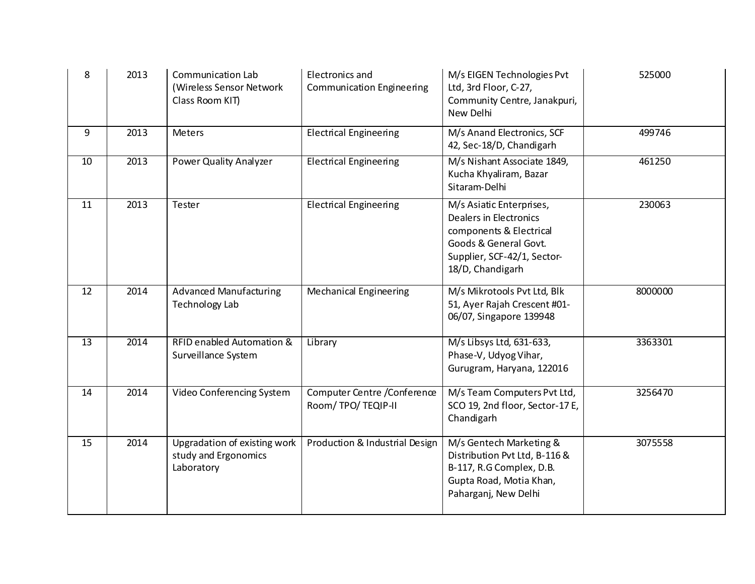| 8               | 2013 | Communication Lab<br>(Wireless Sensor Network<br>Class Room KIT)   | Electronics and<br><b>Communication Engineering</b> | M/s EIGEN Technologies Pvt<br>Ltd, 3rd Floor, C-27,<br>Community Centre, Janakpuri,<br>New Delhi                                                          | 525000  |
|-----------------|------|--------------------------------------------------------------------|-----------------------------------------------------|-----------------------------------------------------------------------------------------------------------------------------------------------------------|---------|
| 9               | 2013 | <b>Meters</b>                                                      | <b>Electrical Engineering</b>                       | M/s Anand Electronics, SCF<br>42, Sec-18/D, Chandigarh                                                                                                    | 499746  |
| 10              | 2013 | Power Quality Analyzer                                             | <b>Electrical Engineering</b>                       | M/s Nishant Associate 1849,<br>Kucha Khyaliram, Bazar<br>Sitaram-Delhi                                                                                    | 461250  |
| 11              | 2013 | Tester                                                             | <b>Electrical Engineering</b>                       | M/s Asiatic Enterprises,<br>Dealers in Electronics<br>components & Electrical<br>Goods & General Govt.<br>Supplier, SCF-42/1, Sector-<br>18/D, Chandigarh | 230063  |
| 12              | 2014 | <b>Advanced Manufacturing</b><br><b>Technology Lab</b>             | <b>Mechanical Engineering</b>                       | M/s Mikrotools Pvt Ltd, Blk<br>51, Ayer Rajah Crescent #01-<br>06/07, Singapore 139948                                                                    | 8000000 |
| $\overline{13}$ | 2014 | <b>RFID enabled Automation &amp;</b><br>Surveillance System        | Library                                             | M/s Libsys Ltd, 631-633,<br>Phase-V, Udyog Vihar,<br>Gurugram, Haryana, 122016                                                                            | 3363301 |
| 14              | 2014 | Video Conferencing System                                          | Computer Centre / Conference<br>Room/TPO/TEQIP-II   | M/s Team Computers Pvt Ltd,<br>SCO 19, 2nd floor, Sector-17 E,<br>Chandigarh                                                                              | 3256470 |
| 15              | 2014 | Upgradation of existing work<br>study and Ergonomics<br>Laboratory | Production & Industrial Design                      | M/s Gentech Marketing &<br>Distribution Pvt Ltd, B-116 &<br>B-117, R.G Complex, D.B.<br>Gupta Road, Motia Khan,<br>Paharganj, New Delhi                   | 3075558 |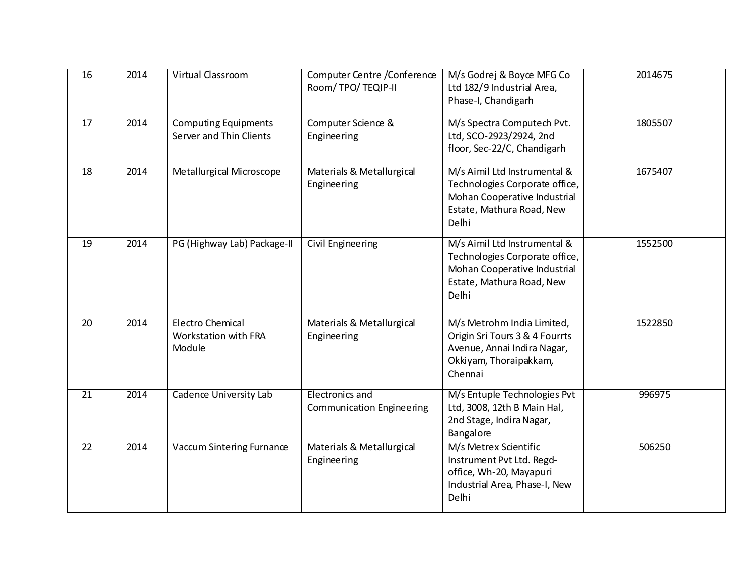| 16 | 2014 | Virtual Classroom                                         | Computer Centre / Conference<br>Room/TPO/TEQIP-II   | M/s Godrej & Boyce MFG Co<br>Ltd 182/9 Industrial Area,<br>Phase-I, Chandigarh                                                       | 2014675 |
|----|------|-----------------------------------------------------------|-----------------------------------------------------|--------------------------------------------------------------------------------------------------------------------------------------|---------|
| 17 | 2014 | <b>Computing Equipments</b><br>Server and Thin Clients    | Computer Science &<br>Engineering                   | M/s Spectra Computech Pvt.<br>Ltd, SCO-2923/2924, 2nd<br>floor, Sec-22/C, Chandigarh                                                 | 1805507 |
| 18 | 2014 | Metallurgical Microscope                                  | Materials & Metallurgical<br>Engineering            | M/s Aimil Ltd Instrumental &<br>Technologies Corporate office,<br>Mohan Cooperative Industrial<br>Estate, Mathura Road, New<br>Delhi | 1675407 |
| 19 | 2014 | PG (Highway Lab) Package-II                               | Civil Engineering                                   | M/s Aimil Ltd Instrumental &<br>Technologies Corporate office,<br>Mohan Cooperative Industrial<br>Estate, Mathura Road, New<br>Delhi | 1552500 |
| 20 | 2014 | <b>Electro Chemical</b><br>Workstation with FRA<br>Module | Materials & Metallurgical<br>Engineering            | M/s Metrohm India Limited,<br>Origin Sri Tours 3 & 4 Fourrts<br>Avenue, Annai Indira Nagar,<br>Okkiyam, Thoraipakkam,<br>Chennai     | 1522850 |
| 21 | 2014 | Cadence University Lab                                    | Electronics and<br><b>Communication Engineering</b> | M/s Entuple Technologies Pvt<br>Ltd, 3008, 12th B Main Hal,<br>2nd Stage, Indira Nagar,<br>Bangalore                                 | 996975  |
| 22 | 2014 | Vaccum Sintering Furnance                                 | Materials & Metallurgical<br>Engineering            | M/s Metrex Scientific<br>Instrument Pvt Ltd. Regd-<br>office, Wh-20, Mayapuri<br>Industrial Area, Phase-I, New<br>Delhi              | 506250  |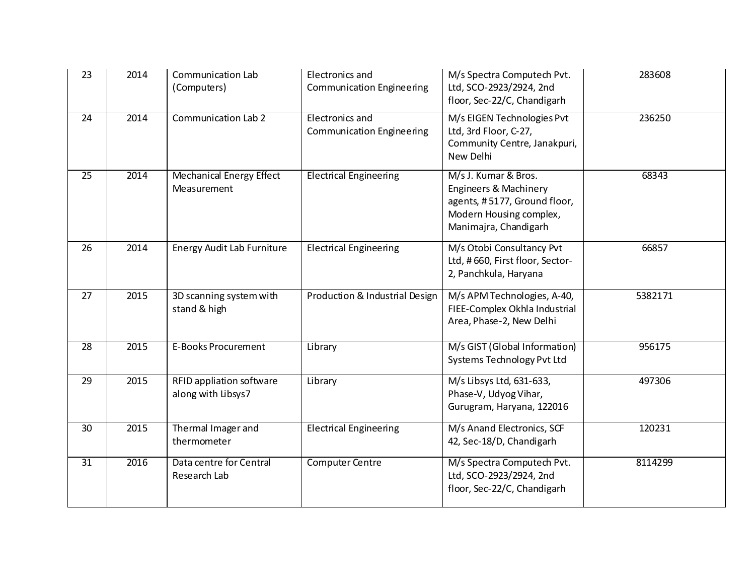| 23 | 2014 | <b>Communication Lab</b><br>(Computers)        | Electronics and<br><b>Communication Engineering</b>        | M/s Spectra Computech Pvt.<br>Ltd, SCO-2923/2924, 2nd<br>floor, Sec-22/C, Chandigarh                                              | 283608  |
|----|------|------------------------------------------------|------------------------------------------------------------|-----------------------------------------------------------------------------------------------------------------------------------|---------|
| 24 | 2014 | Communication Lab 2                            | <b>Electronics and</b><br><b>Communication Engineering</b> | M/s EIGEN Technologies Pvt<br>Ltd, 3rd Floor, C-27,<br>Community Centre, Janakpuri,<br>New Delhi                                  | 236250  |
| 25 | 2014 | Mechanical Energy Effect<br>Measurement        | <b>Electrical Engineering</b>                              | M/s J. Kumar & Bros.<br>Engineers & Machinery<br>agents, #5177, Ground floor,<br>Modern Housing complex,<br>Manimajra, Chandigarh | 68343   |
| 26 | 2014 | <b>Energy Audit Lab Furniture</b>              | <b>Electrical Engineering</b>                              | M/s Otobi Consultancy Pvt<br>Ltd, #660, First floor, Sector-<br>2, Panchkula, Haryana                                             | 66857   |
| 27 | 2015 | 3D scanning system with<br>stand & high        | Production & Industrial Design                             | M/s APM Technologies, A-40,<br>FIEE-Complex Okhla Industrial<br>Area, Phase-2, New Delhi                                          | 5382171 |
| 28 | 2015 | <b>E-Books Procurement</b>                     | Library                                                    | M/s GIST (Global Information)<br>Systems Technology Pvt Ltd                                                                       | 956175  |
| 29 | 2015 | RFID appliation software<br>along with Libsys7 | Library                                                    | M/s Libsys Ltd, 631-633,<br>Phase-V, Udyog Vihar,<br>Gurugram, Haryana, 122016                                                    | 497306  |
| 30 | 2015 | Thermal Imager and<br>thermometer              | <b>Electrical Engineering</b>                              | M/s Anand Electronics, SCF<br>42, Sec-18/D, Chandigarh                                                                            | 120231  |
| 31 | 2016 | Data centre for Central<br>Research Lab        | <b>Computer Centre</b>                                     | M/s Spectra Computech Pvt.<br>Ltd, SCO-2923/2924, 2nd<br>floor, Sec-22/C, Chandigarh                                              | 8114299 |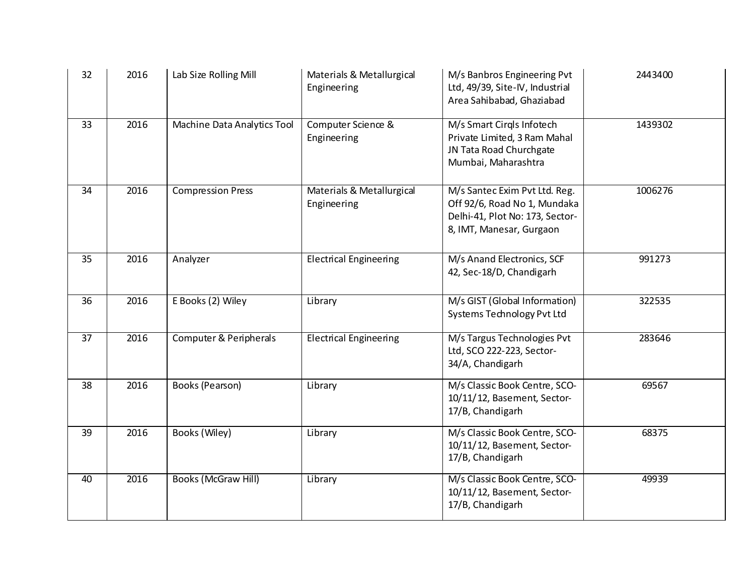| 32              | 2016 | Lab Size Rolling Mill             | Materials & Metallurgical<br>Engineering | M/s Banbros Engineering Pvt<br>Ltd, 49/39, Site-IV, Industrial<br>Area Sahibabad, Ghaziabad                                  | 2443400 |
|-----------------|------|-----------------------------------|------------------------------------------|------------------------------------------------------------------------------------------------------------------------------|---------|
| 33              | 2016 | Machine Data Analytics Tool       | Computer Science &<br>Engineering        | M/s Smart Cirgls Infotech<br>Private Limited, 3 Ram Mahal<br>JN Tata Road Churchgate<br>Mumbai, Maharashtra                  | 1439302 |
| 34              | 2016 | <b>Compression Press</b>          | Materials & Metallurgical<br>Engineering | M/s Santec Exim Pvt Ltd. Reg.<br>Off 92/6, Road No 1, Mundaka<br>Delhi-41, Plot No: 173, Sector-<br>8, IMT, Manesar, Gurgaon | 1006276 |
| 35              | 2016 | Analyzer                          | <b>Electrical Engineering</b>            | M/s Anand Electronics, SCF<br>42, Sec-18/D, Chandigarh                                                                       | 991273  |
| 36              | 2016 | E Books (2) Wiley                 | Library                                  | M/s GIST (Global Information)<br>Systems Technology Pvt Ltd                                                                  | 322535  |
| $\overline{37}$ | 2016 | <b>Computer &amp; Peripherals</b> | <b>Electrical Engineering</b>            | M/s Targus Technologies Pvt<br>Ltd, SCO 222-223, Sector-<br>34/A, Chandigarh                                                 | 283646  |
| 38              | 2016 | Books (Pearson)                   | Library                                  | M/s Classic Book Centre, SCO-<br>10/11/12, Basement, Sector-<br>17/B, Chandigarh                                             | 69567   |
| 39              | 2016 | Books (Wiley)                     | Library                                  | M/s Classic Book Centre, SCO-<br>10/11/12, Basement, Sector-<br>17/B, Chandigarh                                             | 68375   |
| 40              | 2016 | <b>Books (McGraw Hill)</b>        | Library                                  | M/s Classic Book Centre, SCO-<br>10/11/12, Basement, Sector-<br>17/B, Chandigarh                                             | 49939   |